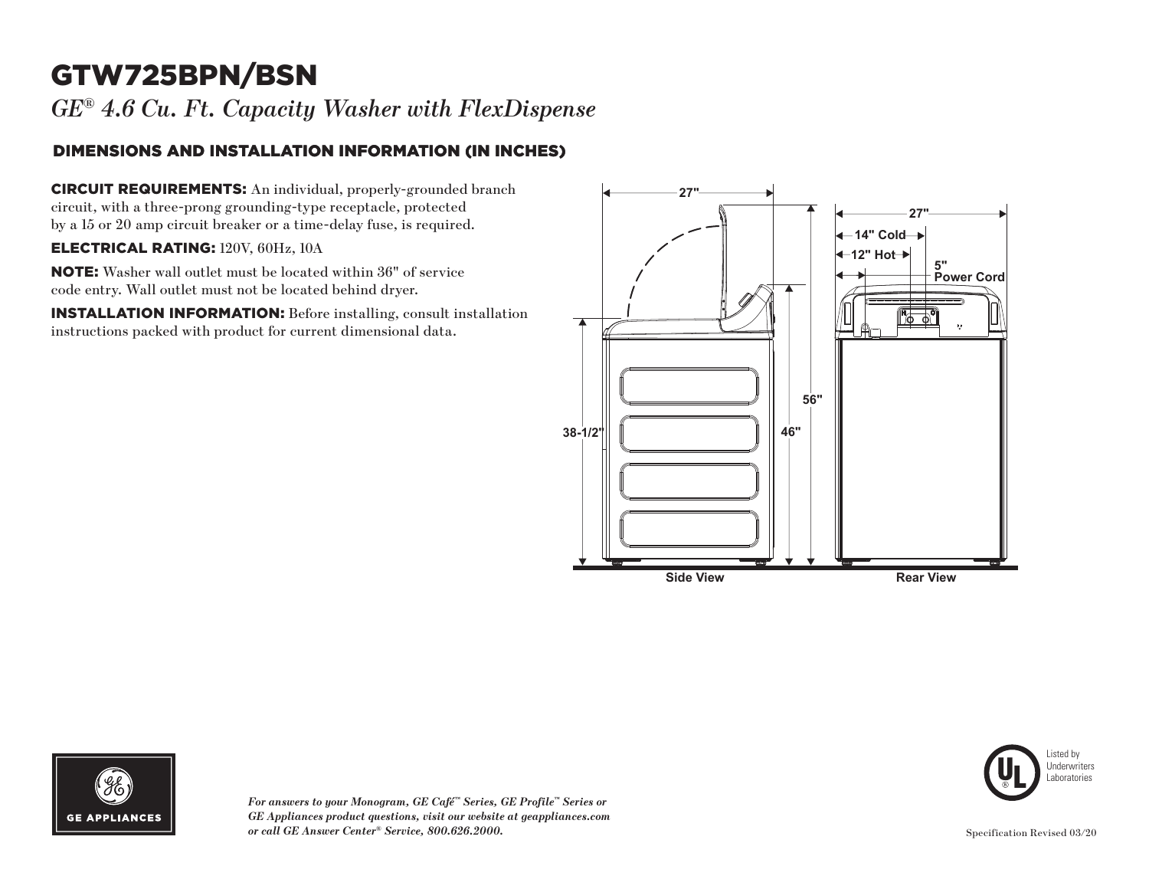# GTW725BPN/BSN

*GE® 4.6 Cu. Ft. Capacity Washer with FlexDispense*

### DIMENSIONS AND INSTALLATION INFORMATION (IN INCHES)

CIRCUIT REQUIREMENTS: An individual, properly-grounded branch circuit, with a three-prong grounding-type receptacle, protected by a 15 or 20 amp circuit breaker or a time-delay fuse, is required.

#### ELECTRICAL RATING: 120V, 60Hz, 10A

NOTE: Washer wall outlet must be located within 36" of service code entry. Wall outlet must not be located behind dryer.

INSTALLATION INFORMATION: Before installing, consult installation instructions packed with product for current dimensional data.





*For answers to your Monogram, GE Café™ Series, GE Profile™ Series or GE Appliances product questions, visit our website at geappliances.com or call GE Answer Center® Service, 800.626.2000.* Specification Revised 03/20